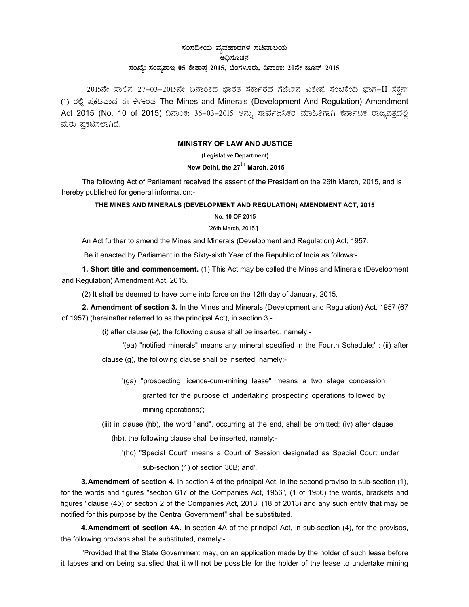# ಸಂಸದೀಯ ವ್ಯವಹಾರಗಳ ಸಚಿವಾಲ**ಯ** ಅಧಿಸೂಚನೆ ಸಂಖ್ಯೆ: ಸಂವ್ಯಶಾಇ 05 ಕೇಶಾಪ್ರ 2015, ಬೆಂಗಳೂರು, ದಿನಾಂಕ: 20ನೇ ಜೂನ್ 2015

2015ನೇ ಸಾಲಿನ 27-03-2015ನೇ ದಿನಾಂಕದ ಭಾರತ ಸರ್ಕಾರದ ಗೆಜೆಟ್ನ ವಿಶೇಷ ಸಂಚಿಕೆಯ ಭಾಗ-II ಸೆಕ್ಷನ್ (1) ರಲ್ಲಿ ಪ್ರಕಟವಾದ ಈ ಕೆಳಕಂಡ The Mines and Minerals (Development And Regulation) Amendment Act 2015 (No. 10 of 2015) ದಿನಾಂಕ: 36-03-2015 ಅನ್ನು ಸಾರ್ವಜನಿಕರ ಮಾಹಿತಿಗಾಗಿ ಕರ್ನಾಟಕ ರಾಜ್ಯಪತ್ರದಲ್ಲಿ ಮರು ಪ್ರಕಟಿಸಲಾಗಿದೆ*.* 

## **MINISTRY OF LAW AND JUSTICE**

**(Legislative Department)**

# New Delhi, the 27<sup>th</sup> March, 2015

The following Act of Parliament received the assent of the President on the 26th March, 2015, and is hereby published for general information:-

## **THE MINES AND MINERALS (DEVELOPMENT AND REGULATION) AMENDMENT ACT, 2015 No. 10 OF 2015**

#### [26th March, 2015.]

An Act further to amend the Mines and Minerals (Development and Regulation) Act, 1957.

Be it enacted by Parliament in the Sixty-sixth Year of the Republic of India as follows:-

**1. Short title and commencement.** (1) This Act may be called the Mines and Minerals (Development and Regulation) Amendment Act, 2015.

(2) It shall be deemed to have come into force on the 12th day of January, 2015.

**2. Amendment of section 3.** In the Mines and Minerals (Development and Regulation) Act, 1957 (67 of 1957) (hereinafter referred to as the principal Act), in section 3,-

(i) after clause (e), the following clause shall be inserted, namely:-

'(ea) "notified minerals" means any mineral specified in the Fourth Schedule;' ; (ii) after clause (g), the following clause shall be inserted, namely:-

- '(ga) "prospecting licence-cum-mining lease" means a two stage concession granted for the purpose of undertaking prospecting operations followed by mining operations;';
- (iii) in clause (hb), the word "and", occurring at the end, shall be omitted; (iv) after clause

(hb), the following clause shall be inserted, namely:-

'(hc) "Special Court" means a Court of Session designated as Special Court under sub-section (1) of section 30B; and'.

**3. Amendment of section 4.** In section 4 of the principal Act, in the second proviso to sub-section (1), for the words and figures "section 617 of the Companies Act, 1956", (1 of 1956) the words, brackets and figures "clause (45) of section 2 of the Companies Act, 2013, (18 of 2013) and any such entity that may be notified for this purpose by the Central Government" shall be substituted.

**4. Amendment of section 4A.** In section 4A of the principal Act, in sub-section (4), for the provisos, the following provisos shall be substituted, namely:-

"Provided that the State Government may, on an application made by the holder of such lease before it lapses and on being satisfied that it will not be possible for the holder of the lease to undertake mining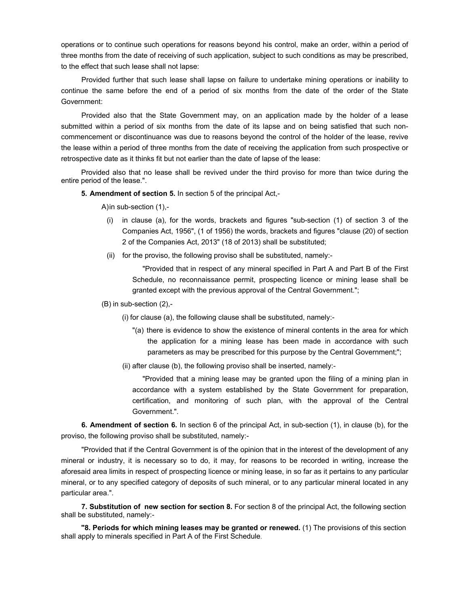operations or to continue such operations for reasons beyond his control, make an order, within a period of three months from the date of receiving of such application, subject to such conditions as may be prescribed, to the effect that such lease shall not lapse:

Provided further that such lease shall lapse on failure to undertake mining operations or inability to continue the same before the end of a period of six months from the date of the order of the State Government:

Provided also that the State Government may, on an application made by the holder of a lease submitted within a period of six months from the date of its lapse and on being satisfied that such noncommencement or discontinuance was due to reasons beyond the control of the holder of the lease, revive the lease within a period of three months from the date of receiving the application from such prospective or retrospective date as it thinks fit but not earlier than the date of lapse of the lease:

Provided also that no lease shall be revived under the third proviso for more than twice during the entire period of the lease.".

**5. Amendment of section 5.** In section 5 of the principal Act,-

A) in sub-section (1),-

- (i) in clause (a), for the words, brackets and figures "sub-section (1) of section 3 of the Companies Act, 1956", (1 of 1956) the words, brackets and figures "clause (20) of section 2 of the Companies Act, 2013" (18 of 2013) shall be substituted;
- (ii) for the proviso, the following proviso shall be substituted, namely:-

"Provided that in respect of any mineral specified in Part A and Part B of the First Schedule, no reconnaissance permit, prospecting licence or mining lease shall be granted except with the previous approval of the Central Government.";

#### (B) in sub-section (2),-

(i) for clause (a), the following clause shall be substituted, namely:-

- "(a) there is evidence to show the existence of mineral contents in the area for which the application for a mining lease has been made in accordance with such parameters as may be prescribed for this purpose by the Central Government;";
- (ii) after clause (b), the following proviso shall be inserted, namely:-

"Provided that a mining lease may be granted upon the filing of a mining plan in accordance with a system established by the State Government for preparation, certification, and monitoring of such plan, with the approval of the Central Government.".

**6. Amendment of section 6.** In section 6 of the principal Act, in sub-section (1), in clause (b), for the proviso, the following proviso shall be substituted, namely:-

"Provided that if the Central Government is of the opinion that in the interest of the development of any mineral or industry, it is necessary so to do, it may, for reasons to be recorded in writing, increase the aforesaid area limits in respect of prospecting licence or mining lease, in so far as it pertains to any particular mineral, or to any specified category of deposits of such mineral, or to any particular mineral located in any particular area.".

**7. Substitution of new section for section 8.** For section 8 of the principal Act, the following section shall be substituted, namely:-

**"8. Periods for which mining leases may be granted or renewed.** (1) The provisions of this section shall apply to minerals specified in Part A of the First Schedule.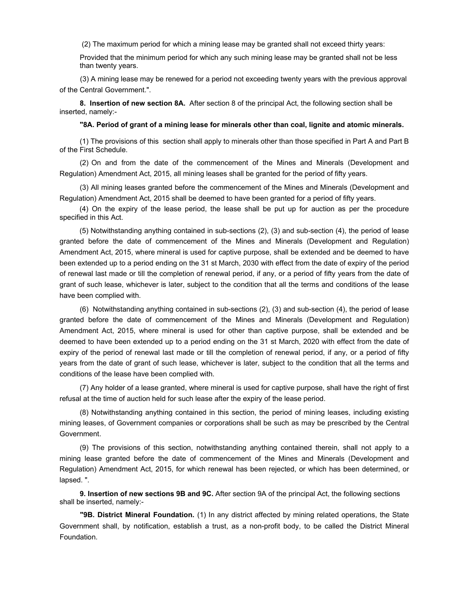(2) The maximum period for which a mining lease may be granted shall not exceed thirty years:

Provided that the minimum period for which any such mining lease may be granted shall not be less than twenty years.

(3) A mining lease may be renewed for a period not exceeding twenty years with the previous approval of the Central Government.".

**8. Insertion of new section 8A.** After section 8 of the principal Act, the following section shall be inserted, namely:-

**"8A. Period of grant of a mining lease for minerals other than coal, lignite and atomic minerals.** 

(1) The provisions of this section shall apply to minerals other than those specified in Part A and Part B of the First Schedule.

(2) On and from the date of the commencement of the Mines and Minerals (Development and Regulation) Amendment Act, 2015, all mining leases shall be granted for the period of fifty years.

(3) All mining leases granted before the commencement of the Mines and Minerals (Development and Regulation) Amendment Act, 2015 shall be deemed to have been granted for a period of fifty years.

 (4) On the expiry of the lease period, the lease shall be put up for auction as per the procedure specified in this Act.

 (5) Notwithstanding anything contained in sub-sections (2), (3) and sub-section (4), the period of lease granted before the date of commencement of the Mines and Minerals (Development and Regulation) Amendment Act, 2015, where mineral is used for captive purpose, shall be extended and be deemed to have been extended up to a period ending on the 31 st March, 2030 with effect from the date of expiry of the period of renewal last made or till the completion of renewal period, if any, or a period of fifty years from the date of grant of such lease, whichever is later, subject to the condition that all the terms and conditions of the lease have been complied with.

(6) Notwithstanding anything contained in sub-sections (2), (3) and sub-section (4), the period of lease granted before the date of commencement of the Mines and Minerals (Development and Regulation) Amendment Act, 2015, where mineral is used for other than captive purpose, shall be extended and be deemed to have been extended up to a period ending on the 31 st March, 2020 with effect from the date of expiry of the period of renewal last made or till the completion of renewal period, if any, or a period of fifty years from the date of grant of such lease, whichever is later, subject to the condition that all the terms and conditions of the lease have been complied with.

(7) Any holder of a lease granted, where mineral is used for captive purpose, shall have the right of first refusal at the time of auction held for such lease after the expiry of the lease period.

(8) Notwithstanding anything contained in this section, the period of mining leases, including existing mining leases, of Government companies or corporations shall be such as may be prescribed by the Central Government.

(9) The provisions of this section, notwithstanding anything contained therein, shall not apply to a mining lease granted before the date of commencement of the Mines and Minerals (Development and Regulation) Amendment Act, 2015, for which renewal has been rejected, or which has been determined, or lapsed. ".

**9. Insertion of new sections 9B and 9C.** After section 9A of the principal Act, the following sections shall be inserted, namely:-

**"9B. District Mineral Foundation.** (1) In any district affected by mining related operations, the State Government shall, by notification, establish a trust, as a non-profit body, to be called the District Mineral Foundation.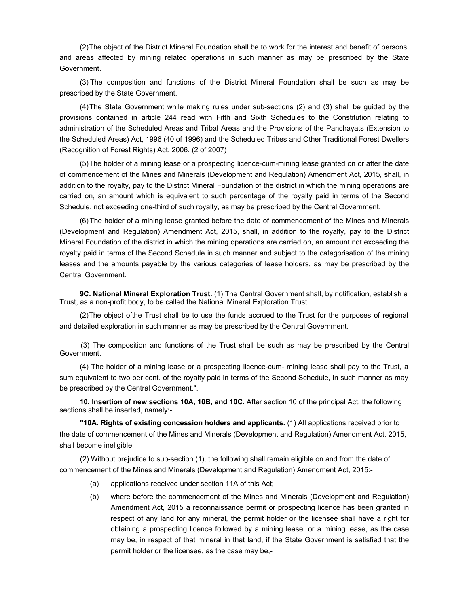(2) The object of the District Mineral Foundation shall be to work for the interest and benefit of persons, and areas affected by mining related operations in such manner as may be prescribed by the State Government.

(3) The composition and functions of the District Mineral Foundation shall be such as may be prescribed by the State Government.

(4) The State Government while making rules under sub-sections (2) and (3) shall be guided by the provisions contained in article 244 read with Fifth and Sixth Schedules to the Constitution relating to administration of the Scheduled Areas and Tribal Areas and the Provisions of the Panchayats (Extension to the Scheduled Areas) Act, 1996 (40 of 1996) and the Scheduled Tribes and Other Traditional Forest Dwellers (Recognition of Forest Rights) Act, 2006. (2 of 2007)

(5) The holder of a mining lease or a prospecting licence-cum-mining lease granted on or after the date of commencement of the Mines and Minerals (Development and Regulation) Amendment Act, 2015, shall, in addition to the royalty, pay to the District Mineral Foundation of the district in which the mining operations are carried on, an amount which is equivalent to such percentage of the royalty paid in terms of the Second Schedule, not exceeding one-third of such royalty, as may be prescribed by the Central Government.

(6) The holder of a mining lease granted before the date of commencement of the Mines and Minerals (Development and Regulation) Amendment Act, 2015, shall, in addition to the royalty, pay to the District Mineral Foundation of the district in which the mining operations are carried on, an amount not exceeding the royalty paid in terms of the Second Schedule in such manner and subject to the categorisation of the mining leases and the amounts payable by the various categories of lease holders, as may be prescribed by the Central Government.

**9C. National Mineral Exploration Trust.** (1) The Central Government shall, by notification, establish a Trust, as a non-profit body, to be called the National Mineral Exploration Trust.

(2) The object ofthe Trust shall be to use the funds accrued to the Trust for the purposes of regional and detailed exploration in such manner as may be prescribed by the Central Government.

 (3) The composition and functions of the Trust shall be such as may be prescribed by the Central Government.

(4) The holder of a mining lease or a prospecting licence-cum- mining lease shall pay to the Trust, a sum equivalent to two per cent. of the royalty paid in terms of the Second Schedule, in such manner as may be prescribed by the Central Government.".

**10. Insertion of new sections 10A, 10B, and 10C.** After section 10 of the principal Act, the following sections shall be inserted, namely:-

**"10A. Rights of existing concession holders and applicants.** (1) All applications received prior to the date of commencement of the Mines and Minerals (Development and Regulation) Amendment Act, 2015, shall become ineligible.

(2) Without prejudice to sub-section (1), the following shall remain eligible on and from the date of commencement of the Mines and Minerals (Development and Regulation) Amendment Act, 2015:-

- (a) applications received under section 11A of this Act;
- (b) where before the commencement of the Mines and Minerals (Development and Regulation) Amendment Act, 2015 a reconnaissance permit or prospecting licence has been granted in respect of any land for any mineral, the permit holder or the licensee shall have a right for obtaining a prospecting licence followed by a mining lease, or a mining lease, as the case may be, in respect of that mineral in that land, if the State Government is satisfied that the permit holder or the licensee, as the case may be,-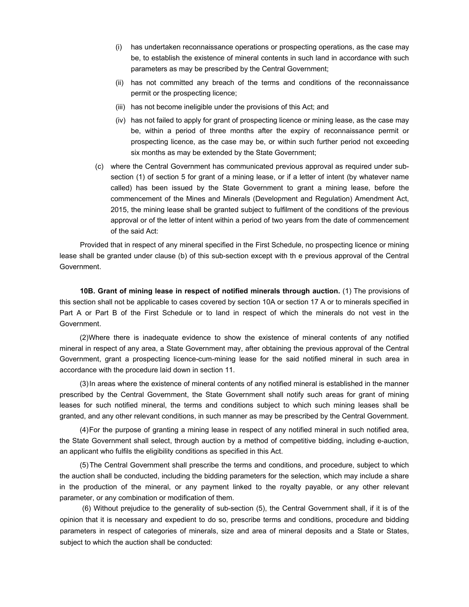- (i) has undertaken reconnaissance operations or prospecting operations, as the case may be, to establish the existence of mineral contents in such land in accordance with such parameters as may be prescribed by the Central Government;
- (ii) has not committed any breach of the terms and conditions of the reconnaissance permit or the prospecting licence;
- (iii) has not become ineligible under the provisions of this Act; and
- (iv) has not failed to apply for grant of prospecting licence or mining lease, as the case may be, within a period of three months after the expiry of reconnaissance permit or prospecting licence, as the case may be, or within such further period not exceeding six months as may be extended by the State Government;
- (c) where the Central Government has communicated previous approval as required under subsection (1) of section 5 for grant of a mining lease, or if a letter of intent (by whatever name called) has been issued by the State Government to grant a mining lease, before the commencement of the Mines and Minerals (Development and Regulation) Amendment Act, 2015, the mining lease shall be granted subject to fulfilment of the conditions of the previous approval or of the letter of intent within a period of two years from the date of commencement of the said Act:

Provided that in respect of any mineral specified in the First Schedule, no prospecting licence or mining lease shall be granted under clause (b) of this sub-section except with th e previous approval of the Central Government.

**10B. Grant of mining lease in respect of notified minerals through auction.** (1) The provisions of this section shall not be applicable to cases covered by section 10A or section 17 A or to minerals specified in Part A or Part B of the First Schedule or to land in respect of which the minerals do not vest in the Government.

(2) Where there is inadequate evidence to show the existence of mineral contents of any notified mineral in respect of any area, a State Government may, after obtaining the previous approval of the Central Government, grant a prospecting licence-cum-mining lease for the said notified mineral in such area in accordance with the procedure laid down in section 11.

(3) In areas where the existence of mineral contents of any notified mineral is established in the manner prescribed by the Central Government, the State Government shall notify such areas for grant of mining leases for such notified mineral, the terms and conditions subject to which such mining leases shall be granted, and any other relevant conditions, in such manner as may be prescribed by the Central Government.

(4) For the purpose of granting a mining lease in respect of any notified mineral in such notified area, the State Government shall select, through auction by a method of competitive bidding, including e-auction, an applicant who fulfils the eligibility conditions as specified in this Act.

(5) The Central Government shall prescribe the terms and conditions, and procedure, subject to which the auction shall be conducted, including the bidding parameters for the selection, which may include a share in the production of the mineral, or any payment linked to the royalty payable, or any other relevant parameter, or any combination or modification of them.

 (6) Without prejudice to the generality of sub-section (5), the Central Government shall, if it is of the opinion that it is necessary and expedient to do so, prescribe terms and conditions, procedure and bidding parameters in respect of categories of minerals, size and area of mineral deposits and a State or States, subject to which the auction shall be conducted: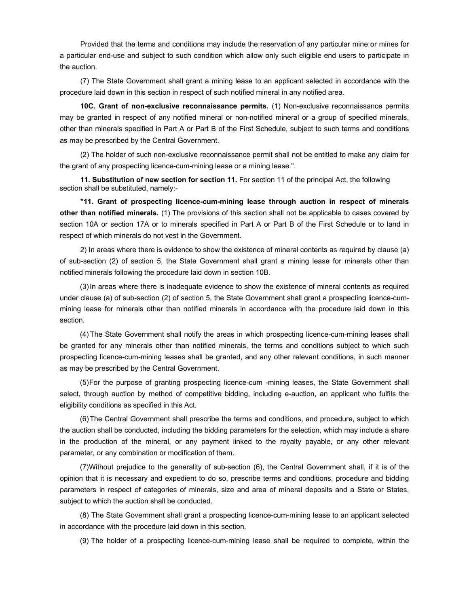Provided that the terms and conditions may include the reservation of any particular mine or mines for a particular end-use and subject to such condition which allow only such eligible end users to participate in the auction.

(7) The State Government shall grant a mining lease to an applicant selected in accordance with the procedure laid down in this section in respect of such notified mineral in any notified area.

**10C. Grant of non-exclusive reconnaissance permits.** (1) Non-exclusive reconnaissance permits may be granted in respect of any notified mineral or non-notified mineral or a group of specified minerals, other than minerals specified in Part A or Part B of the First Schedule, subject to such terms and conditions as may be prescribed by the Central Government.

(2) The holder of such non-exclusive reconnaissance permit shall not be entitled to make any claim for the grant of any prospecting licence-cum-mining lease or a mining lease.".

**11. Substitution of new section for section 11.** For section 11 of the principal Act, the following section shall be substituted, namely:-

**"11. Grant of prospecting licence-cum-mining lease through auction in respect of minerals other than notified minerals.** (1) The provisions of this section shall not be applicable to cases covered by section 10A or section 17A or to minerals specified in Part A or Part B of the First Schedule or to land in respect of which minerals do not vest in the Government.

2) In areas where there is evidence to show the existence of mineral contents as required by clause (a) of sub-section (2) of section 5, the State Government shall grant a mining lease for minerals other than notified minerals following the procedure laid down in section 10B.

(3) In areas where there is inadequate evidence to show the existence of mineral contents as required under clause (a) of sub-section (2) of section 5, the State Government shall grant a prospecting licence-cummining lease for minerals other than notified minerals in accordance with the procedure laid down in this section.

(4) The State Government shall notify the areas in which prospecting licence-cum-mining leases shall be granted for any minerals other than notified minerals, the terms and conditions subject to which such prospecting licence-cum-mining leases shall be granted, and any other relevant conditions, in such manner as may be prescribed by the Central Government.

(5) For the purpose of granting prospecting licence-cum -mining leases, the State Government shall select, through auction by method of competitive bidding, including e-auction, an applicant who fulfils the eligibility conditions as specified in this Act.

(6) The Central Government shall prescribe the terms and conditions, and procedure, subject to which the auction shall be conducted, including the bidding parameters for the selection, which may include a share in the production of the mineral, or any payment linked to the royalty payable, or any other relevant parameter, or any combination or modification of them.

(7) Without prejudice to the generality of sub-section (6), the Central Government shall, if it is of the opinion that it is necessary and expedient to do so, prescribe terms and conditions, procedure and bidding parameters in respect of categories of minerals, size and area of mineral deposits and a State or States, subject to which the auction shall be conducted.

(8) The State Government shall grant a prospecting licence-cum-mining lease to an applicant selected in accordance with the procedure laid down in this section.

(9)The holder of a prospecting licence-cum-mining lease shall be required to complete, within the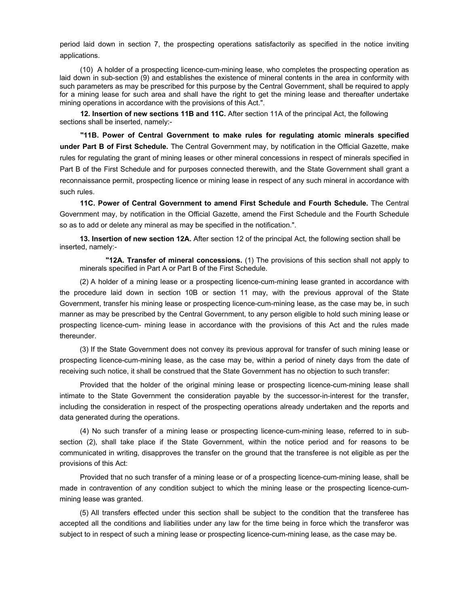period laid down in section 7, the prospecting operations satisfactorily as specified in the notice inviting applications.

 (10) A holder of a prospecting licence-cum-mining lease, who completes the prospecting operation as laid down in sub-section (9) and establishes the existence of mineral contents in the area in conformity with such parameters as may be prescribed for this purpose by the Central Government, shall be required to apply for a mining lease for such area and shall have the right to get the mining lease and thereafter undertake mining operations in accordance with the provisions of this Act.".

**12. Insertion of new sections 11B and 11C.** After section 11A of the principal Act, the following sections shall be inserted, namely:-

**"11B. Power of Central Government to make rules for regulating atomic minerals specified under Part B of First Schedule.** The Central Government may, by notification in the Official Gazette, make rules for regulating the grant of mining leases or other mineral concessions in respect of minerals specified in Part B of the First Schedule and for purposes connected therewith, and the State Government shall grant a reconnaissance permit, prospecting licence or mining lease in respect of any such mineral in accordance with such rules.

**11C. Power of Central Government to amend First Schedule and Fourth Schedule.** The Central Government may, by notification in the Official Gazette, amend the First Schedule and the Fourth Schedule so as to add or delete any mineral as may be specified in the notification.".

**13. Insertion of new section 12A.** After section 12 of the principal Act, the following section shall be inserted, namely:-

**"12A. Transfer of mineral concessions.** (1) The provisions of this section shall not apply to minerals specified in Part A or Part B of the First Schedule.

(2)A holder of a mining lease or a prospecting licence-cum-mining lease granted in accordance with the procedure laid down in section 10B or section 11 may, with the previous approval of the State Government, transfer his mining lease or prospecting licence-cum-mining lease, as the case may be, in such manner as may be prescribed by the Central Government, to any person eligible to hold such mining lease or prospecting licence-cum- mining lease in accordance with the provisions of this Act and the rules made thereunder.

(3) If the State Government does not convey its previous approval for transfer of such mining lease or prospecting licence-cum-mining lease, as the case may be, within a period of ninety days from the date of receiving such notice, it shall be construed that the State Government has no objection to such transfer:

Provided that the holder of the original mining lease or prospecting licence-cum-mining lease shall intimate to the State Government the consideration payable by the successor-in-interest for the transfer, including the consideration in respect of the prospecting operations already undertaken and the reports and data generated during the operations.

(4) No such transfer of a mining lease or prospecting licence-cum-mining lease, referred to in subsection (2), shall take place if the State Government, within the notice period and for reasons to be communicated in writing, disapproves the transfer on the ground that the transferee is not eligible as per the provisions of this Act:

Provided that no such transfer of a mining lease or of a prospecting licence-cum-mining lease, shall be made in contravention of any condition subject to which the mining lease or the prospecting licence-cummining lease was granted.

(5) All transfers effected under this section shall be subject to the condition that the transferee has accepted all the conditions and liabilities under any law for the time being in force which the transferor was subject to in respect of such a mining lease or prospecting licence-cum-mining lease, as the case may be.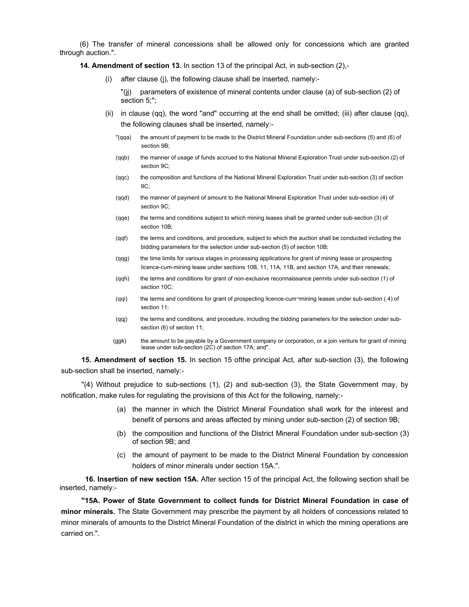(6) The transfer of mineral concessions shall be allowed only for concessions which are granted through auction.".

**14. Amendment of section 13.** In section 13 of the principal Act, in sub-section (2),-

(i) after clause (j), the following clause shall be inserted, namely:-

"(jj) parameters of existence of mineral contents under clause (a) of sub-section (2) of section 5;";

- (ii) in clause (qq), the word "and" occurring at the end shall be omitted; (iii) after clause (qq), the following clauses shall be inserted, namely:-
	- "(qqa) the amount of payment to be made to the District Mineral Foundation under sub-sections (5) and (6) of section 9B;
	- (qqb) the manner of usage of funds accrued to the National Mineral Exploration Trust under sub-section (2) of section 9C;
	- (qqc) the composition and functions of the National Mineral Exploration Trust under sub-section (3) of section 9C;
	- (qqd) the manner of payment of amount to the National Mineral Exploration Trust under sub-section (4) of section 9C;
	- (qqe) the terms and conditions subject to which mining leases shall be granted under sub-section (3) of section 10B;
	- (qqf) the terms and conditions, and procedure, subject to which the auction shall be conducted including the bidding parameters for the selection under sub-section (5) of section 10B;
	- (qqg) the time limits for various stages in processing applications for grant of mining lease or prospecting licence-cum-mining lease under sections 10B, 11, 11A, 11B, and section 17A, and their renewals;
	- (qqh) the terms and conditions for grant of non-exclusive reconnaissance permits under sub-section (1) of section 10C;
	- (qqi) the terms and conditions for grant of prospecting licence-cum¬mining leases under sub-section ( 4) of section 11;
	- (qqj) the terms and conditions, and procedure, including the bidding parameters for the selection under subsection (6) of section 11;
	- (ggk) the amount to be payable by a Government company or corporation, or a join venture for grant of mining lease under sub-section (2C) of section 17A; and".

**15. Amendment of section 15.** In section 15 ofthe principal Act, after sub-section (3), the following sub-section shall be inserted, namely:-

"(4) Without prejudice to sub-sections (1), (2) and sub-section (3), the State Government may, by notification, make rules for regulating the provisions of this Act for the following, namely:-

- (a) the manner in which the District Mineral Foundation shall work for the interest and benefit of persons and areas affected by mining under sub-section (2) of section 9B;
- (b) the composition and functions of the District Mineral Foundation under sub-section (3) of section 9B; and
- (c) the amount of payment to be made to the District Mineral Foundation by concession holders of minor minerals under section 15A.".

 **16. Insertion of new section 15A.** After section 15 of the principal Act, the following section shall be inserted, namely:-

**"15A. Power of State Government to collect funds for District Mineral Foundation in case of minor minerals.** The State Government may prescribe the payment by all holders of concessions related to minor minerals of amounts to the District Mineral Foundation of the district in which the mining operations are carried on.".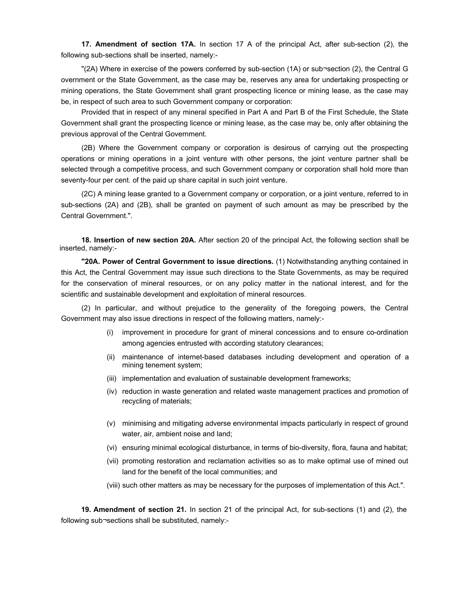**17. Amendment of section 17A.** In section 17 A of the principal Act, after sub-section (2), the following sub-sections shall be inserted, namely:-

"(2A) Where in exercise of the powers conferred by sub-section (1A) or sub¬section (2), the Central G overnment or the State Government, as the case may be, reserves any area for undertaking prospecting or mining operations, the State Government shall grant prospecting licence or mining lease, as the case may be, in respect of such area to such Government company or corporation:

Provided that in respect of any mineral specified in Part A and Part B of the First Schedule, the State Government shall grant the prospecting licence or mining lease, as the case may be, only after obtaining the previous approval of the Central Government.

(2B) Where the Government company or corporation is desirous of carrying out the prospecting operations or mining operations in a joint venture with other persons, the joint venture partner shall be selected through a competitive process, and such Government company or corporation shall hold more than seventy-four per cent. of the paid up share capital in such joint venture.

(2C) A mining lease granted to a Government company or corporation, or a joint venture, referred to in sub-sections (2A) and (2B), shall be granted on payment of such amount as may be prescribed by the Central Government.".

**18. Insertion of new section 20A.** After section 20 of the principal Act, the following section shall be inserted, namely:-

**"20A. Power of Central Government to issue directions.** (1) Notwithstanding anything contained in this Act, the Central Government may issue such directions to the State Governments, as may be required for the conservation of mineral resources, or on any policy matter in the national interest, and for the scientific and sustainable development and exploitation of mineral resources.

(2) In particular, and without prejudice to the generality of the foregoing powers, the Central Government may also issue directions in respect of the following matters, namely:-

- (i) improvement in procedure for grant of mineral concessions and to ensure co-ordination among agencies entrusted with according statutory clearances;
- (ii) maintenance of internet-based databases including development and operation of a mining tenement system;
- (iii) implementation and evaluation of sustainable development frameworks;
- (iv) reduction in waste generation and related waste management practices and promotion of recycling of materials;
- (v) minimising and mitigating adverse environmental impacts particularly in respect of ground water, air, ambient noise and land;
- (vi) ensuring minimal ecological disturbance, in terms of bio-diversity, flora, fauna and habitat;
- (vii) promoting restoration and reclamation activities so as to make optimal use of mined out land for the benefit of the local communities; and
- (viii) such other matters as may be necessary for the purposes of implementation of this Act.".

**19. Amendment of section 21.** In section 21 of the principal Act, for sub-sections (1) and (2), the following sub¬sections shall be substituted, namely:-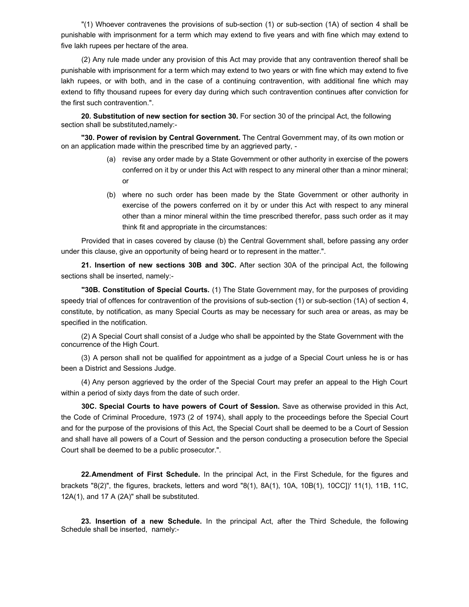"(1) Whoever contravenes the provisions of sub-section (1) or sub-section (1A) of section 4 shall be punishable with imprisonment for a term which may extend to five years and with fine which may extend to five lakh rupees per hectare of the area.

(2) Any rule made under any provision of this Act may provide that any contravention thereof shall be punishable with imprisonment for a term which may extend to two years or with fine which may extend to five lakh rupees, or with both, and in the case of a continuing contravention, with additional fine which may extend to fifty thousand rupees for every day during which such contravention continues after conviction for the first such contravention.".

**20. Substitution of new section for section 30.** For section 30 of the principal Act, the following section shall be substituted,namely:-

**"30. Power of revision by Central Government.** The Central Government may, of its own motion or on an application made within the prescribed time by an aggrieved party, -

- (a) revise any order made by a State Government or other authority in exercise of the powers conferred on it by or under this Act with respect to any mineral other than a minor mineral; or
- (b) where no such order has been made by the State Government or other authority in exercise of the powers conferred on it by or under this Act with respect to any mineral other than a minor mineral within the time prescribed therefor, pass such order as it may think fit and appropriate in the circumstances:

Provided that in cases covered by clause (b) the Central Government shall, before passing any order under this clause, give an opportunity of being heard or to represent in the matter.".

**21. Insertion of new sections 30B and 30C.** After section 30A of the principal Act, the following sections shall be inserted, namely:-

**"30B. Constitution of Special Courts.** (1) The State Government may, for the purposes of providing speedy trial of offences for contravention of the provisions of sub-section (1) or sub-section (1A) of section 4, constitute, by notification, as many Special Courts as may be necessary for such area or areas, as may be specified in the notification.

(2) A Special Court shall consist of a Judge who shall be appointed by the State Government with the concurrence of the High Court.

(3) A person shall not be qualified for appointment as a judge of a Special Court unless he is or has been a District and Sessions Judge.

(4) Any person aggrieved by the order of the Special Court may prefer an appeal to the High Court within a period of sixty days from the date of such order.

**30C. Special Courts to have powers of Court of Session.** Save as otherwise provided in this Act, the Code of Criminal Procedure, 1973 (2 of 1974), shall apply to the proceedings before the Special Court and for the purpose of the provisions of this Act, the Special Court shall be deemed to be a Court of Session and shall have all powers of a Court of Session and the person conducting a prosecution before the Special Court shall be deemed to be a public prosecutor.".

**22. Amendment of First Schedule.** In the principal Act, in the First Schedule, for the figures and brackets "8(2)", the figures, brackets, letters and word "8(1), 8A(1), 10A, 10B(1), 10CC])' 11(1), 11B, 11C, 12A(1), and 17 A (2A)" shall be substituted.

**23. Insertion of a new Schedule.** In the principal Act, after the Third Schedule, the following Schedule shall be inserted,namely:-